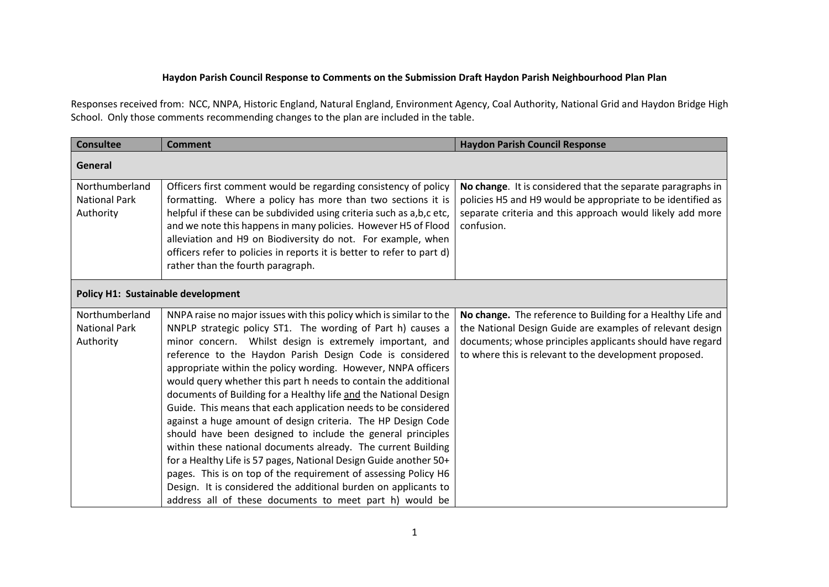## **Haydon Parish Council Response to Comments on the Submission Draft Haydon Parish Neighbourhood Plan Plan**

Responses received from: NCC, NNPA, Historic England, Natural England, Environment Agency, Coal Authority, National Grid and Haydon Bridge High School. Only those comments recommending changes to the plan are included in the table.

| <b>Consultee</b>                                    | <b>Comment</b>                                                                                                                                                                                                                                                                                                                                                                                                                                                                                                                                                                                                                                                                                                                                                                                                                                                                                                                                                                                             | <b>Haydon Parish Council Response</b>                                                                                                                                                                                                           |
|-----------------------------------------------------|------------------------------------------------------------------------------------------------------------------------------------------------------------------------------------------------------------------------------------------------------------------------------------------------------------------------------------------------------------------------------------------------------------------------------------------------------------------------------------------------------------------------------------------------------------------------------------------------------------------------------------------------------------------------------------------------------------------------------------------------------------------------------------------------------------------------------------------------------------------------------------------------------------------------------------------------------------------------------------------------------------|-------------------------------------------------------------------------------------------------------------------------------------------------------------------------------------------------------------------------------------------------|
| General                                             |                                                                                                                                                                                                                                                                                                                                                                                                                                                                                                                                                                                                                                                                                                                                                                                                                                                                                                                                                                                                            |                                                                                                                                                                                                                                                 |
| Northumberland<br><b>National Park</b><br>Authority | Officers first comment would be regarding consistency of policy<br>formatting. Where a policy has more than two sections it is<br>helpful if these can be subdivided using criteria such as a,b,c etc,<br>and we note this happens in many policies. However H5 of Flood<br>alleviation and H9 on Biodiversity do not. For example, when<br>officers refer to policies in reports it is better to refer to part d)<br>rather than the fourth paragraph.                                                                                                                                                                                                                                                                                                                                                                                                                                                                                                                                                    | No change. It is considered that the separate paragraphs in<br>policies H5 and H9 would be appropriate to be identified as<br>separate criteria and this approach would likely add more<br>confusion.                                           |
| Policy H1: Sustainable development                  |                                                                                                                                                                                                                                                                                                                                                                                                                                                                                                                                                                                                                                                                                                                                                                                                                                                                                                                                                                                                            |                                                                                                                                                                                                                                                 |
| Northumberland<br><b>National Park</b><br>Authority | NNPA raise no major issues with this policy which is similar to the<br>NNPLP strategic policy ST1. The wording of Part h) causes a<br>minor concern. Whilst design is extremely important, and<br>reference to the Haydon Parish Design Code is considered<br>appropriate within the policy wording. However, NNPA officers<br>would query whether this part h needs to contain the additional<br>documents of Building for a Healthy life and the National Design<br>Guide. This means that each application needs to be considered<br>against a huge amount of design criteria. The HP Design Code<br>should have been designed to include the general principles<br>within these national documents already. The current Building<br>for a Healthy Life is 57 pages, National Design Guide another 50+<br>pages. This is on top of the requirement of assessing Policy H6<br>Design. It is considered the additional burden on applicants to<br>address all of these documents to meet part h) would be | No change. The reference to Building for a Healthy Life and<br>the National Design Guide are examples of relevant design<br>documents; whose principles applicants should have regard<br>to where this is relevant to the development proposed. |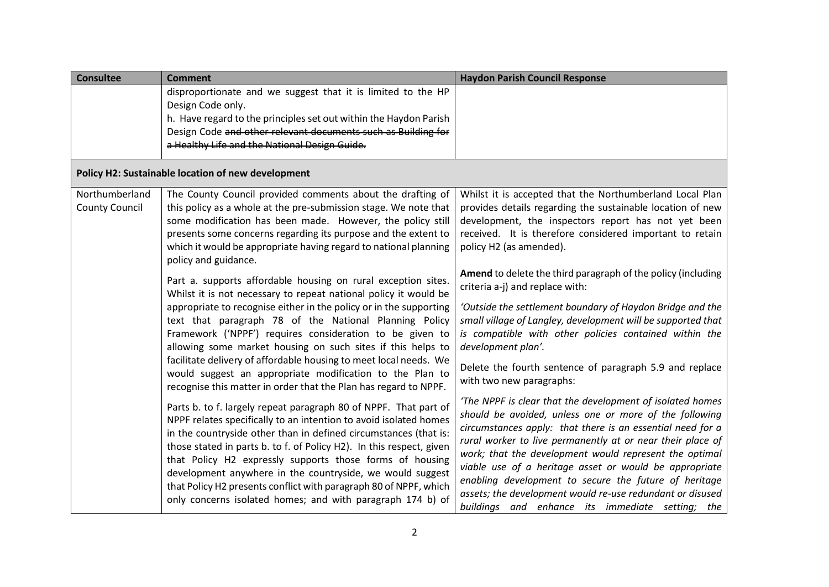| <b>Consultee</b>                        | <b>Comment</b>                                                                                                                                                                                                                                                                                                                                                                                                                                                                                                                                                                                                                                                                                                                                                                                                                                                                                                                                                                                                                                                                                                                                     | <b>Haydon Parish Council Response</b>                                                                                                                                                                                                                                                                                                                                                                                                                                                                                                                                                                                                                                                                                                                                                                                                                                                                                                                |
|-----------------------------------------|----------------------------------------------------------------------------------------------------------------------------------------------------------------------------------------------------------------------------------------------------------------------------------------------------------------------------------------------------------------------------------------------------------------------------------------------------------------------------------------------------------------------------------------------------------------------------------------------------------------------------------------------------------------------------------------------------------------------------------------------------------------------------------------------------------------------------------------------------------------------------------------------------------------------------------------------------------------------------------------------------------------------------------------------------------------------------------------------------------------------------------------------------|------------------------------------------------------------------------------------------------------------------------------------------------------------------------------------------------------------------------------------------------------------------------------------------------------------------------------------------------------------------------------------------------------------------------------------------------------------------------------------------------------------------------------------------------------------------------------------------------------------------------------------------------------------------------------------------------------------------------------------------------------------------------------------------------------------------------------------------------------------------------------------------------------------------------------------------------------|
|                                         | disproportionate and we suggest that it is limited to the HP<br>Design Code only.<br>h. Have regard to the principles set out within the Haydon Parish<br>Design Code and other relevant documents such as Building for<br>a Healthy Life and the National Design Guide.                                                                                                                                                                                                                                                                                                                                                                                                                                                                                                                                                                                                                                                                                                                                                                                                                                                                           |                                                                                                                                                                                                                                                                                                                                                                                                                                                                                                                                                                                                                                                                                                                                                                                                                                                                                                                                                      |
|                                         | Policy H2: Sustainable location of new development                                                                                                                                                                                                                                                                                                                                                                                                                                                                                                                                                                                                                                                                                                                                                                                                                                                                                                                                                                                                                                                                                                 |                                                                                                                                                                                                                                                                                                                                                                                                                                                                                                                                                                                                                                                                                                                                                                                                                                                                                                                                                      |
| Northumberland<br><b>County Council</b> | The County Council provided comments about the drafting of<br>this policy as a whole at the pre-submission stage. We note that<br>some modification has been made. However, the policy still<br>presents some concerns regarding its purpose and the extent to<br>which it would be appropriate having regard to national planning<br>policy and guidance.                                                                                                                                                                                                                                                                                                                                                                                                                                                                                                                                                                                                                                                                                                                                                                                         | Whilst it is accepted that the Northumberland Local Plan<br>provides details regarding the sustainable location of new<br>development, the inspectors report has not yet been<br>received. It is therefore considered important to retain<br>policy H2 (as amended).                                                                                                                                                                                                                                                                                                                                                                                                                                                                                                                                                                                                                                                                                 |
|                                         | Part a. supports affordable housing on rural exception sites.<br>Whilst it is not necessary to repeat national policy it would be<br>appropriate to recognise either in the policy or in the supporting<br>text that paragraph 78 of the National Planning Policy<br>Framework ('NPPF') requires consideration to be given to<br>allowing some market housing on such sites if this helps to<br>facilitate delivery of affordable housing to meet local needs. We<br>would suggest an appropriate modification to the Plan to<br>recognise this matter in order that the Plan has regard to NPPF.<br>Parts b. to f. largely repeat paragraph 80 of NPPF. That part of<br>NPPF relates specifically to an intention to avoid isolated homes<br>in the countryside other than in defined circumstances (that is:<br>those stated in parts b. to f. of Policy H2). In this respect, given<br>that Policy H2 expressly supports those forms of housing<br>development anywhere in the countryside, we would suggest<br>that Policy H2 presents conflict with paragraph 80 of NPPF, which<br>only concerns isolated homes; and with paragraph 174 b) of | Amend to delete the third paragraph of the policy (including<br>criteria a-j) and replace with:<br>'Outside the settlement boundary of Haydon Bridge and the<br>small village of Langley, development will be supported that<br>is compatible with other policies contained within the<br>development plan'.<br>Delete the fourth sentence of paragraph 5.9 and replace<br>with two new paragraphs:<br>'The NPPF is clear that the development of isolated homes<br>should be avoided, unless one or more of the following<br>circumstances apply: that there is an essential need for a<br>rural worker to live permanently at or near their place of<br>work; that the development would represent the optimal<br>viable use of a heritage asset or would be appropriate<br>enabling development to secure the future of heritage<br>assets; the development would re-use redundant or disused<br>buildings and enhance its immediate setting; the |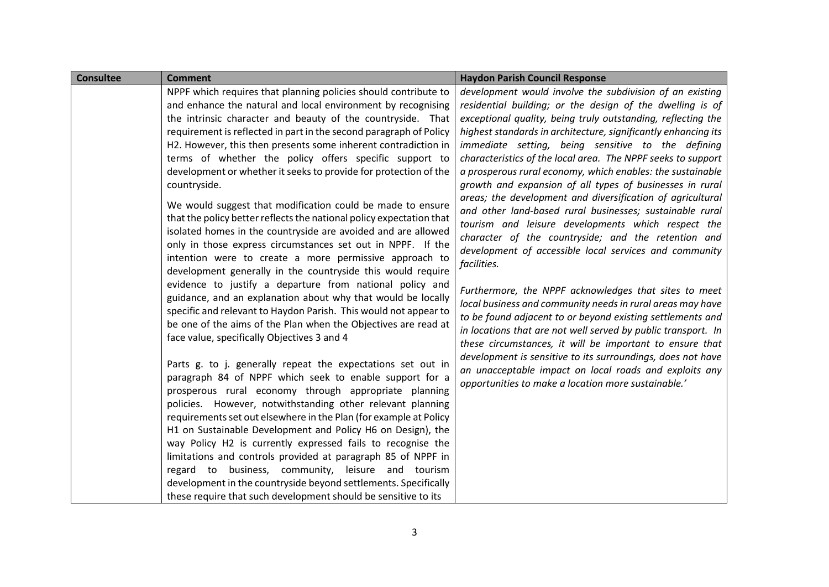| <b>Consultee</b> | <b>Comment</b>                                                                                                              | <b>Haydon Parish Council Response</b>                          |
|------------------|-----------------------------------------------------------------------------------------------------------------------------|----------------------------------------------------------------|
|                  | NPPF which requires that planning policies should contribute to                                                             | development would involve the subdivision of an existing       |
|                  | and enhance the natural and local environment by recognising                                                                | residential building; or the design of the dwelling is of      |
|                  | the intrinsic character and beauty of the countryside. That                                                                 | exceptional quality, being truly outstanding, reflecting the   |
|                  | requirement is reflected in part in the second paragraph of Policy                                                          | highest standards in architecture, significantly enhancing its |
|                  | H2. However, this then presents some inherent contradiction in                                                              | immediate setting, being sensitive to the defining             |
|                  | terms of whether the policy offers specific support to                                                                      | characteristics of the local area. The NPPF seeks to support   |
|                  | development or whether it seeks to provide for protection of the                                                            | a prosperous rural economy, which enables: the sustainable     |
|                  | countryside.                                                                                                                | growth and expansion of all types of businesses in rural       |
|                  | We would suggest that modification could be made to ensure                                                                  | areas; the development and diversification of agricultural     |
|                  | that the policy better reflects the national policy expectation that                                                        | and other land-based rural businesses; sustainable rural       |
|                  | isolated homes in the countryside are avoided and are allowed                                                               | tourism and leisure developments which respect the             |
|                  | only in those express circumstances set out in NPPF. If the                                                                 | character of the countryside; and the retention and            |
|                  | intention were to create a more permissive approach to                                                                      | development of accessible local services and community         |
|                  | development generally in the countryside this would require                                                                 | facilities.                                                    |
|                  | evidence to justify a departure from national policy and                                                                    | Furthermore, the NPPF acknowledges that sites to meet          |
|                  | guidance, and an explanation about why that would be locally                                                                | local business and community needs in rural areas may have     |
|                  | specific and relevant to Haydon Parish. This would not appear to                                                            | to be found adjacent to or beyond existing settlements and     |
|                  | be one of the aims of the Plan when the Objectives are read at                                                              | in locations that are not well served by public transport. In  |
|                  | face value, specifically Objectives 3 and 4                                                                                 | these circumstances, it will be important to ensure that       |
|                  |                                                                                                                             | development is sensitive to its surroundings, does not have    |
|                  | Parts g. to j. generally repeat the expectations set out in                                                                 | an unacceptable impact on local roads and exploits any         |
|                  | paragraph 84 of NPPF which seek to enable support for a                                                                     | opportunities to make a location more sustainable.'            |
|                  | prosperous rural economy through appropriate planning                                                                       |                                                                |
|                  | policies. However, notwithstanding other relevant planning                                                                  |                                                                |
|                  | requirements set out elsewhere in the Plan (for example at Policy                                                           |                                                                |
|                  | H1 on Sustainable Development and Policy H6 on Design), the                                                                 |                                                                |
|                  | way Policy H2 is currently expressed fails to recognise the<br>limitations and controls provided at paragraph 85 of NPPF in |                                                                |
|                  | regard to business, community, leisure and tourism                                                                          |                                                                |
|                  | development in the countryside beyond settlements. Specifically                                                             |                                                                |
|                  | these require that such development should be sensitive to its                                                              |                                                                |
|                  |                                                                                                                             |                                                                |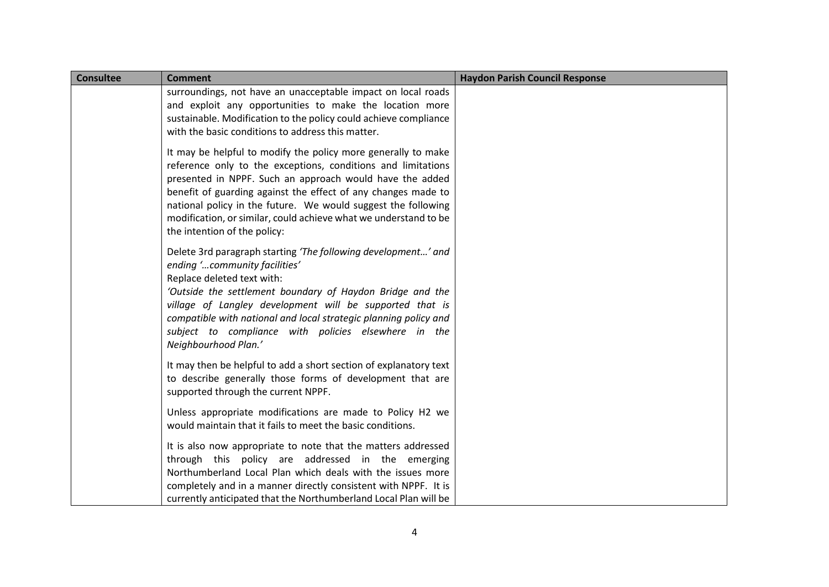| <b>Consultee</b> | <b>Comment</b>                                                                                                                                                                                                                                                                                                                                                                                                                  | <b>Haydon Parish Council Response</b> |
|------------------|---------------------------------------------------------------------------------------------------------------------------------------------------------------------------------------------------------------------------------------------------------------------------------------------------------------------------------------------------------------------------------------------------------------------------------|---------------------------------------|
|                  | surroundings, not have an unacceptable impact on local roads<br>and exploit any opportunities to make the location more<br>sustainable. Modification to the policy could achieve compliance<br>with the basic conditions to address this matter.                                                                                                                                                                                |                                       |
|                  | It may be helpful to modify the policy more generally to make<br>reference only to the exceptions, conditions and limitations<br>presented in NPPF. Such an approach would have the added<br>benefit of guarding against the effect of any changes made to<br>national policy in the future. We would suggest the following<br>modification, or similar, could achieve what we understand to be<br>the intention of the policy: |                                       |
|                  | Delete 3rd paragraph starting 'The following development' and<br>ending 'community facilities'<br>Replace deleted text with:<br>'Outside the settlement boundary of Haydon Bridge and the<br>village of Langley development will be supported that is<br>compatible with national and local strategic planning policy and<br>subject to compliance with policies elsewhere in the<br>Neighbourhood Plan.'                       |                                       |
|                  | It may then be helpful to add a short section of explanatory text<br>to describe generally those forms of development that are<br>supported through the current NPPF.                                                                                                                                                                                                                                                           |                                       |
|                  | Unless appropriate modifications are made to Policy H2 we<br>would maintain that it fails to meet the basic conditions.                                                                                                                                                                                                                                                                                                         |                                       |
|                  | It is also now appropriate to note that the matters addressed<br>through this policy are addressed in the emerging<br>Northumberland Local Plan which deals with the issues more<br>completely and in a manner directly consistent with NPPF. It is<br>currently anticipated that the Northumberland Local Plan will be                                                                                                         |                                       |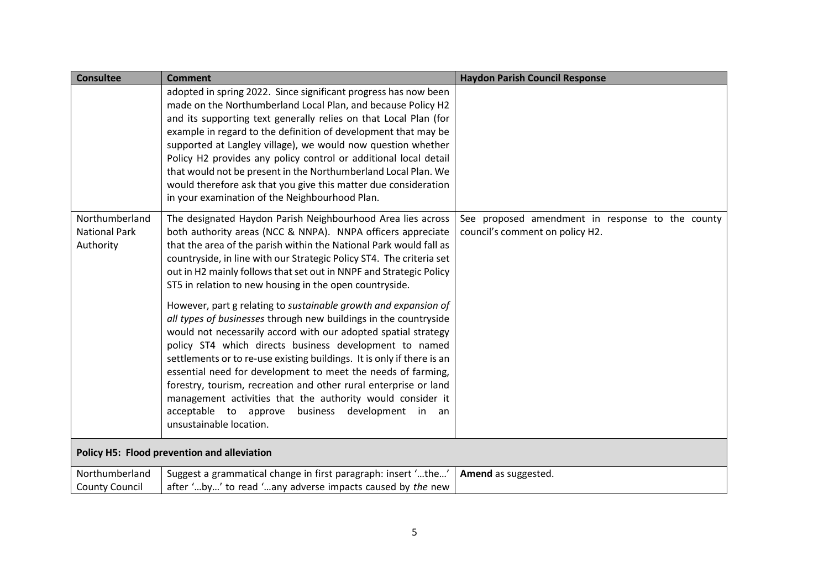| <b>Consultee</b>                                    | <b>Comment</b>                                                                                                                                                                                                                                                                                                                                                                                                                                                                                                                                                                                                                | <b>Haydon Parish Council Response</b>                                               |
|-----------------------------------------------------|-------------------------------------------------------------------------------------------------------------------------------------------------------------------------------------------------------------------------------------------------------------------------------------------------------------------------------------------------------------------------------------------------------------------------------------------------------------------------------------------------------------------------------------------------------------------------------------------------------------------------------|-------------------------------------------------------------------------------------|
|                                                     | adopted in spring 2022. Since significant progress has now been<br>made on the Northumberland Local Plan, and because Policy H2<br>and its supporting text generally relies on that Local Plan (for<br>example in regard to the definition of development that may be<br>supported at Langley village), we would now question whether<br>Policy H2 provides any policy control or additional local detail<br>that would not be present in the Northumberland Local Plan. We<br>would therefore ask that you give this matter due consideration<br>in your examination of the Neighbourhood Plan.                              |                                                                                     |
| Northumberland<br><b>National Park</b><br>Authority | The designated Haydon Parish Neighbourhood Area lies across<br>both authority areas (NCC & NNPA). NNPA officers appreciate<br>that the area of the parish within the National Park would fall as<br>countryside, in line with our Strategic Policy ST4. The criteria set<br>out in H2 mainly follows that set out in NNPF and Strategic Policy<br>ST5 in relation to new housing in the open countryside.                                                                                                                                                                                                                     | See proposed amendment in response to the county<br>council's comment on policy H2. |
|                                                     | However, part g relating to sustainable growth and expansion of<br>all types of businesses through new buildings in the countryside<br>would not necessarily accord with our adopted spatial strategy<br>policy ST4 which directs business development to named<br>settlements or to re-use existing buildings. It is only if there is an<br>essential need for development to meet the needs of farming,<br>forestry, tourism, recreation and other rural enterprise or land<br>management activities that the authority would consider it<br>acceptable to approve<br>business development in an<br>unsustainable location. |                                                                                     |
|                                                     | Policy H5: Flood prevention and alleviation                                                                                                                                                                                                                                                                                                                                                                                                                                                                                                                                                                                   |                                                                                     |
| Northumberland<br><b>County Council</b>             | Suggest a grammatical change in first paragraph: insert 'the'<br>after 'by' to read 'any adverse impacts caused by the new                                                                                                                                                                                                                                                                                                                                                                                                                                                                                                    | Amend as suggested.                                                                 |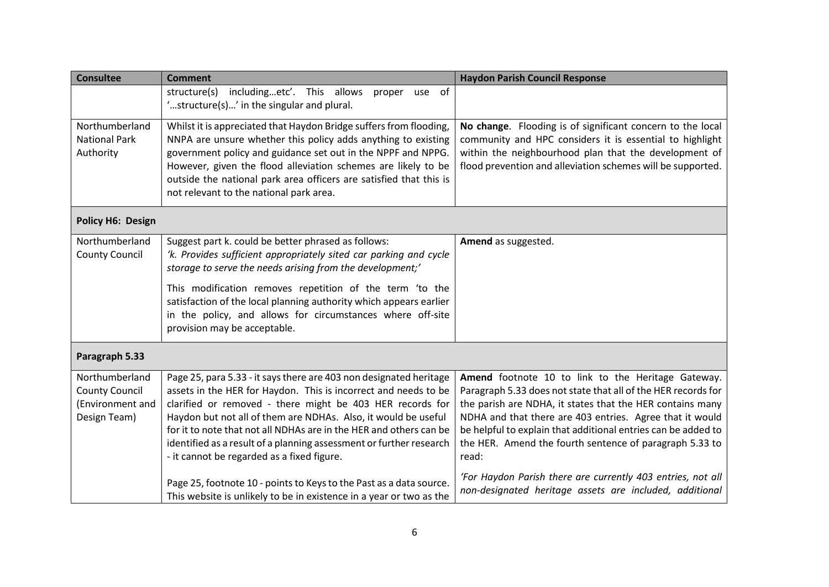| <b>Consultee</b>                                                            | <b>Comment</b>                                                                                                                                                                                                                                                                                                                                                                                                                                                  | <b>Haydon Parish Council Response</b>                                                                                                                                                                                                                                                                                                                                             |
|-----------------------------------------------------------------------------|-----------------------------------------------------------------------------------------------------------------------------------------------------------------------------------------------------------------------------------------------------------------------------------------------------------------------------------------------------------------------------------------------------------------------------------------------------------------|-----------------------------------------------------------------------------------------------------------------------------------------------------------------------------------------------------------------------------------------------------------------------------------------------------------------------------------------------------------------------------------|
|                                                                             | includingetc'. This allows<br>use of<br>structure(s)<br>proper<br>'structure(s)' in the singular and plural.                                                                                                                                                                                                                                                                                                                                                    |                                                                                                                                                                                                                                                                                                                                                                                   |
| Northumberland<br><b>National Park</b><br>Authority                         | Whilst it is appreciated that Haydon Bridge suffers from flooding,<br>NNPA are unsure whether this policy adds anything to existing<br>government policy and guidance set out in the NPPF and NPPG.<br>However, given the flood alleviation schemes are likely to be<br>outside the national park area officers are satisfied that this is<br>not relevant to the national park area.                                                                           | No change. Flooding is of significant concern to the local<br>community and HPC considers it is essential to highlight<br>within the neighbourhood plan that the development of<br>flood prevention and alleviation schemes will be supported.                                                                                                                                    |
| <b>Policy H6: Design</b>                                                    |                                                                                                                                                                                                                                                                                                                                                                                                                                                                 |                                                                                                                                                                                                                                                                                                                                                                                   |
| Northumberland<br><b>County Council</b>                                     | Suggest part k. could be better phrased as follows:<br>'k. Provides sufficient appropriately sited car parking and cycle<br>storage to serve the needs arising from the development;'<br>This modification removes repetition of the term 'to the<br>satisfaction of the local planning authority which appears earlier<br>in the policy, and allows for circumstances where off-site<br>provision may be acceptable.                                           | Amend as suggested.                                                                                                                                                                                                                                                                                                                                                               |
| Paragraph 5.33                                                              |                                                                                                                                                                                                                                                                                                                                                                                                                                                                 |                                                                                                                                                                                                                                                                                                                                                                                   |
| Northumberland<br><b>County Council</b><br>(Environment and<br>Design Team) | Page 25, para 5.33 - it says there are 403 non designated heritage<br>assets in the HER for Haydon. This is incorrect and needs to be<br>clarified or removed - there might be 403 HER records for<br>Haydon but not all of them are NDHAs. Also, it would be useful<br>for it to note that not all NDHAs are in the HER and others can be<br>identified as a result of a planning assessment or further research<br>- it cannot be regarded as a fixed figure. | Amend footnote 10 to link to the Heritage Gateway.<br>Paragraph 5.33 does not state that all of the HER records for<br>the parish are NDHA, it states that the HER contains many<br>NDHA and that there are 403 entries. Agree that it would<br>be helpful to explain that additional entries can be added to<br>the HER. Amend the fourth sentence of paragraph 5.33 to<br>read: |
|                                                                             | Page 25, footnote 10 - points to Keys to the Past as a data source.<br>This website is unlikely to be in existence in a year or two as the                                                                                                                                                                                                                                                                                                                      | 'For Haydon Parish there are currently 403 entries, not all<br>non-designated heritage assets are included, additional                                                                                                                                                                                                                                                            |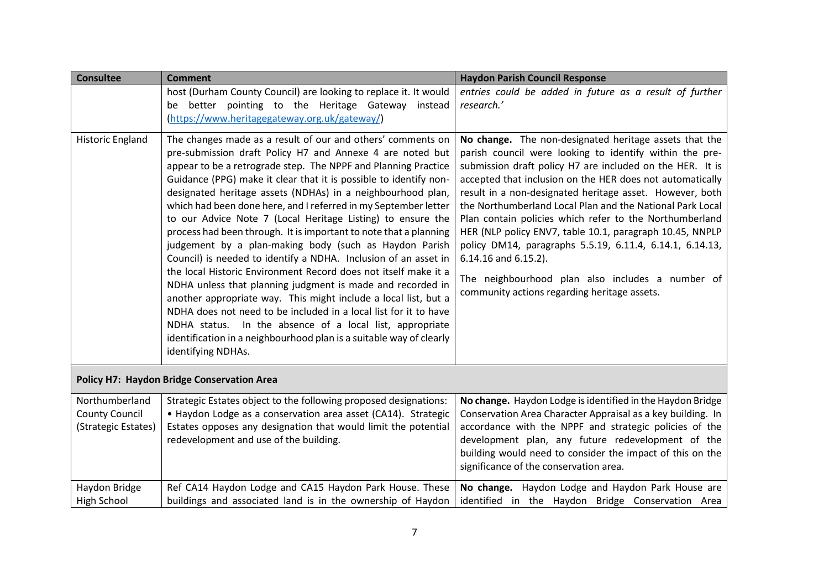| <b>Consultee</b>                        | <b>Comment</b>                                                                                                                                                                                                                                                                                                                                                                                                                                                                                                                                                                                                                                                                                                                                                                                                                                                                                                                                                                                                                                                                                      | <b>Haydon Parish Council Response</b>                                                                                                                                                                                                                                                                                                                                                                                                                                                                                                                                                                                                                                                    |
|-----------------------------------------|-----------------------------------------------------------------------------------------------------------------------------------------------------------------------------------------------------------------------------------------------------------------------------------------------------------------------------------------------------------------------------------------------------------------------------------------------------------------------------------------------------------------------------------------------------------------------------------------------------------------------------------------------------------------------------------------------------------------------------------------------------------------------------------------------------------------------------------------------------------------------------------------------------------------------------------------------------------------------------------------------------------------------------------------------------------------------------------------------------|------------------------------------------------------------------------------------------------------------------------------------------------------------------------------------------------------------------------------------------------------------------------------------------------------------------------------------------------------------------------------------------------------------------------------------------------------------------------------------------------------------------------------------------------------------------------------------------------------------------------------------------------------------------------------------------|
|                                         | host (Durham County Council) are looking to replace it. It would                                                                                                                                                                                                                                                                                                                                                                                                                                                                                                                                                                                                                                                                                                                                                                                                                                                                                                                                                                                                                                    | entries could be added in future as a result of further                                                                                                                                                                                                                                                                                                                                                                                                                                                                                                                                                                                                                                  |
|                                         | be better pointing to the Heritage Gateway instead                                                                                                                                                                                                                                                                                                                                                                                                                                                                                                                                                                                                                                                                                                                                                                                                                                                                                                                                                                                                                                                  | research.'                                                                                                                                                                                                                                                                                                                                                                                                                                                                                                                                                                                                                                                                               |
|                                         | (https://www.heritagegateway.org.uk/gateway/)                                                                                                                                                                                                                                                                                                                                                                                                                                                                                                                                                                                                                                                                                                                                                                                                                                                                                                                                                                                                                                                       |                                                                                                                                                                                                                                                                                                                                                                                                                                                                                                                                                                                                                                                                                          |
| <b>Historic England</b>                 | The changes made as a result of our and others' comments on<br>pre-submission draft Policy H7 and Annexe 4 are noted but<br>appear to be a retrograde step. The NPPF and Planning Practice<br>Guidance (PPG) make it clear that it is possible to identify non-<br>designated heritage assets (NDHAs) in a neighbourhood plan,<br>which had been done here, and I referred in my September letter<br>to our Advice Note 7 (Local Heritage Listing) to ensure the<br>process had been through. It is important to note that a planning<br>judgement by a plan-making body (such as Haydon Parish<br>Council) is needed to identify a NDHA. Inclusion of an asset in<br>the local Historic Environment Record does not itself make it a<br>NDHA unless that planning judgment is made and recorded in<br>another appropriate way. This might include a local list, but a<br>NDHA does not need to be included in a local list for it to have<br>NDHA status. In the absence of a local list, appropriate<br>identification in a neighbourhood plan is a suitable way of clearly<br>identifying NDHAs. | No change. The non-designated heritage assets that the<br>parish council were looking to identify within the pre-<br>submission draft policy H7 are included on the HER. It is<br>accepted that inclusion on the HER does not automatically<br>result in a non-designated heritage asset. However, both<br>the Northumberland Local Plan and the National Park Local<br>Plan contain policies which refer to the Northumberland<br>HER (NLP policy ENV7, table 10.1, paragraph 10.45, NNPLP<br>policy DM14, paragraphs 5.5.19, 6.11.4, 6.14.1, 6.14.13,<br>$6.14.16$ and $6.15.2$ ).<br>The neighbourhood plan also includes a number of<br>community actions regarding heritage assets. |
|                                         | <b>Policy H7: Haydon Bridge Conservation Area</b>                                                                                                                                                                                                                                                                                                                                                                                                                                                                                                                                                                                                                                                                                                                                                                                                                                                                                                                                                                                                                                                   |                                                                                                                                                                                                                                                                                                                                                                                                                                                                                                                                                                                                                                                                                          |
| Northumberland<br><b>County Council</b> | Strategic Estates object to the following proposed designations:<br>• Haydon Lodge as a conservation area asset (CA14). Strategic                                                                                                                                                                                                                                                                                                                                                                                                                                                                                                                                                                                                                                                                                                                                                                                                                                                                                                                                                                   | No change. Haydon Lodge is identified in the Haydon Bridge<br>Conservation Area Character Appraisal as a key building. In                                                                                                                                                                                                                                                                                                                                                                                                                                                                                                                                                                |
| (Strategic Estates)                     | Estates opposes any designation that would limit the potential                                                                                                                                                                                                                                                                                                                                                                                                                                                                                                                                                                                                                                                                                                                                                                                                                                                                                                                                                                                                                                      | accordance with the NPPF and strategic policies of the                                                                                                                                                                                                                                                                                                                                                                                                                                                                                                                                                                                                                                   |
|                                         | redevelopment and use of the building.                                                                                                                                                                                                                                                                                                                                                                                                                                                                                                                                                                                                                                                                                                                                                                                                                                                                                                                                                                                                                                                              | development plan, any future redevelopment of the                                                                                                                                                                                                                                                                                                                                                                                                                                                                                                                                                                                                                                        |
|                                         |                                                                                                                                                                                                                                                                                                                                                                                                                                                                                                                                                                                                                                                                                                                                                                                                                                                                                                                                                                                                                                                                                                     | building would need to consider the impact of this on the                                                                                                                                                                                                                                                                                                                                                                                                                                                                                                                                                                                                                                |
|                                         |                                                                                                                                                                                                                                                                                                                                                                                                                                                                                                                                                                                                                                                                                                                                                                                                                                                                                                                                                                                                                                                                                                     | significance of the conservation area.                                                                                                                                                                                                                                                                                                                                                                                                                                                                                                                                                                                                                                                   |
| Haydon Bridge                           | Ref CA14 Haydon Lodge and CA15 Haydon Park House. These                                                                                                                                                                                                                                                                                                                                                                                                                                                                                                                                                                                                                                                                                                                                                                                                                                                                                                                                                                                                                                             | No change. Haydon Lodge and Haydon Park House are                                                                                                                                                                                                                                                                                                                                                                                                                                                                                                                                                                                                                                        |
| High School                             | buildings and associated land is in the ownership of Haydon                                                                                                                                                                                                                                                                                                                                                                                                                                                                                                                                                                                                                                                                                                                                                                                                                                                                                                                                                                                                                                         | identified in the Haydon Bridge Conservation Area                                                                                                                                                                                                                                                                                                                                                                                                                                                                                                                                                                                                                                        |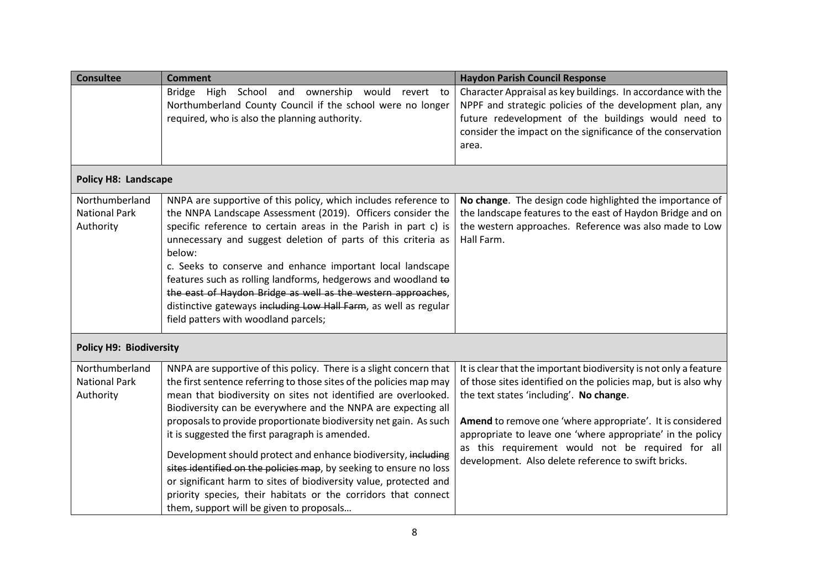| <b>Consultee</b>                                    | <b>Comment</b>                                                                                                                                                                                                                                                                                                                                                                                                                                                                                                                                                                          | <b>Haydon Parish Council Response</b>                                                                                                                                                                                                                   |
|-----------------------------------------------------|-----------------------------------------------------------------------------------------------------------------------------------------------------------------------------------------------------------------------------------------------------------------------------------------------------------------------------------------------------------------------------------------------------------------------------------------------------------------------------------------------------------------------------------------------------------------------------------------|---------------------------------------------------------------------------------------------------------------------------------------------------------------------------------------------------------------------------------------------------------|
|                                                     | Bridge High School and<br>ownership would<br>revert to<br>Northumberland County Council if the school were no longer<br>required, who is also the planning authority.                                                                                                                                                                                                                                                                                                                                                                                                                   | Character Appraisal as key buildings. In accordance with the<br>NPPF and strategic policies of the development plan, any<br>future redevelopment of the buildings would need to<br>consider the impact on the significance of the conservation<br>area. |
| <b>Policy H8: Landscape</b>                         |                                                                                                                                                                                                                                                                                                                                                                                                                                                                                                                                                                                         |                                                                                                                                                                                                                                                         |
| Northumberland<br><b>National Park</b><br>Authority | NNPA are supportive of this policy, which includes reference to<br>the NNPA Landscape Assessment (2019). Officers consider the<br>specific reference to certain areas in the Parish in part c) is<br>unnecessary and suggest deletion of parts of this criteria as<br>below:<br>c. Seeks to conserve and enhance important local landscape<br>features such as rolling landforms, hedgerows and woodland to<br>the east of Haydon Bridge as well as the western approaches,<br>distinctive gateways including Low Hall Farm, as well as regular<br>field patters with woodland parcels; | No change. The design code highlighted the importance of<br>the landscape features to the east of Haydon Bridge and on<br>the western approaches. Reference was also made to Low<br>Hall Farm.                                                          |
| <b>Policy H9: Biodiversity</b>                      |                                                                                                                                                                                                                                                                                                                                                                                                                                                                                                                                                                                         |                                                                                                                                                                                                                                                         |
| Northumberland                                      | NNPA are supportive of this policy. There is a slight concern that                                                                                                                                                                                                                                                                                                                                                                                                                                                                                                                      | It is clear that the important biodiversity is not only a feature                                                                                                                                                                                       |
| <b>National Park</b><br>Authority                   | the first sentence referring to those sites of the policies map may<br>mean that biodiversity on sites not identified are overlooked.<br>Biodiversity can be everywhere and the NNPA are expecting all<br>proposals to provide proportionate biodiversity net gain. As such                                                                                                                                                                                                                                                                                                             | of those sites identified on the policies map, but is also why<br>the text states 'including'. No change.<br>Amend to remove one 'where appropriate'. It is considered                                                                                  |
|                                                     | it is suggested the first paragraph is amended.                                                                                                                                                                                                                                                                                                                                                                                                                                                                                                                                         | appropriate to leave one 'where appropriate' in the policy                                                                                                                                                                                              |
|                                                     | Development should protect and enhance biodiversity, including<br>sites identified on the policies map, by seeking to ensure no loss<br>or significant harm to sites of biodiversity value, protected and<br>priority species, their habitats or the corridors that connect<br>them, support will be given to proposals                                                                                                                                                                                                                                                                 | as this requirement would not be required for all<br>development. Also delete reference to swift bricks.                                                                                                                                                |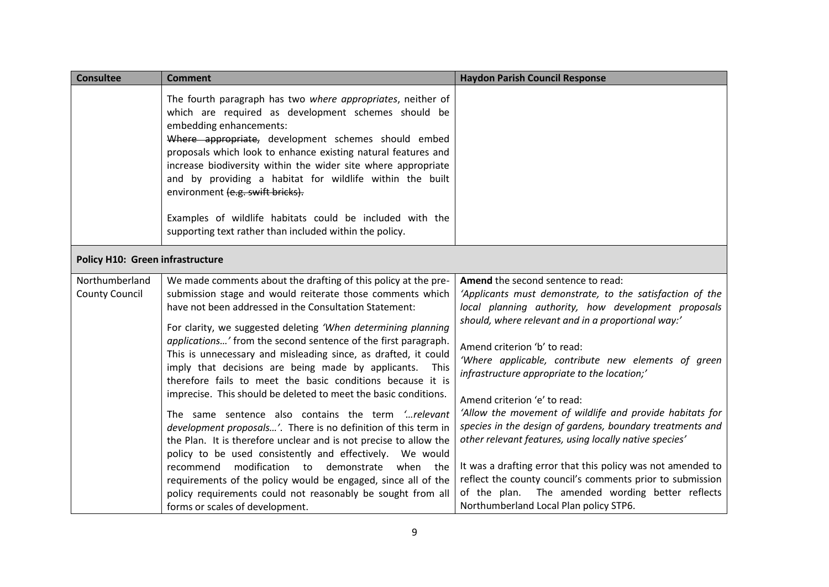| <b>Consultee</b>                        | <b>Comment</b>                                                                                                                                                                                                                                                                                                                                                                                                                                                                                                                                                                                                                                                                                                                                                                                                                                                                                                                                                                                                                                                       | <b>Haydon Parish Council Response</b>                                                                                                                                                                                                                                                                                                                                                                                                                                                                                                                                                                                                                                                                                                                                                           |
|-----------------------------------------|----------------------------------------------------------------------------------------------------------------------------------------------------------------------------------------------------------------------------------------------------------------------------------------------------------------------------------------------------------------------------------------------------------------------------------------------------------------------------------------------------------------------------------------------------------------------------------------------------------------------------------------------------------------------------------------------------------------------------------------------------------------------------------------------------------------------------------------------------------------------------------------------------------------------------------------------------------------------------------------------------------------------------------------------------------------------|-------------------------------------------------------------------------------------------------------------------------------------------------------------------------------------------------------------------------------------------------------------------------------------------------------------------------------------------------------------------------------------------------------------------------------------------------------------------------------------------------------------------------------------------------------------------------------------------------------------------------------------------------------------------------------------------------------------------------------------------------------------------------------------------------|
|                                         | The fourth paragraph has two where appropriates, neither of<br>which are required as development schemes should be<br>embedding enhancements:<br>Where appropriate, development schemes should embed<br>proposals which look to enhance existing natural features and<br>increase biodiversity within the wider site where appropriate<br>and by providing a habitat for wildlife within the built<br>environment (e.g. swift bricks).                                                                                                                                                                                                                                                                                                                                                                                                                                                                                                                                                                                                                               |                                                                                                                                                                                                                                                                                                                                                                                                                                                                                                                                                                                                                                                                                                                                                                                                 |
|                                         | Examples of wildlife habitats could be included with the<br>supporting text rather than included within the policy.                                                                                                                                                                                                                                                                                                                                                                                                                                                                                                                                                                                                                                                                                                                                                                                                                                                                                                                                                  |                                                                                                                                                                                                                                                                                                                                                                                                                                                                                                                                                                                                                                                                                                                                                                                                 |
| <b>Policy H10: Green infrastructure</b> |                                                                                                                                                                                                                                                                                                                                                                                                                                                                                                                                                                                                                                                                                                                                                                                                                                                                                                                                                                                                                                                                      |                                                                                                                                                                                                                                                                                                                                                                                                                                                                                                                                                                                                                                                                                                                                                                                                 |
| Northumberland<br><b>County Council</b> | We made comments about the drafting of this policy at the pre-<br>submission stage and would reiterate those comments which<br>have not been addressed in the Consultation Statement:<br>For clarity, we suggested deleting 'When determining planning<br>applications' from the second sentence of the first paragraph.<br>This is unnecessary and misleading since, as drafted, it could<br>imply that decisions are being made by applicants. This<br>therefore fails to meet the basic conditions because it is<br>imprecise. This should be deleted to meet the basic conditions.<br>The same sentence also contains the term 'relevant<br>development proposals'. There is no definition of this term in<br>the Plan. It is therefore unclear and is not precise to allow the<br>policy to be used consistently and effectively. We would<br>recommend modification to demonstrate when the<br>requirements of the policy would be engaged, since all of the<br>policy requirements could not reasonably be sought from all<br>forms or scales of development. | Amend the second sentence to read:<br>'Applicants must demonstrate, to the satisfaction of the<br>local planning authority, how development proposals<br>should, where relevant and in a proportional way:'<br>Amend criterion 'b' to read:<br>'Where applicable, contribute new elements of green<br>infrastructure appropriate to the location;'<br>Amend criterion 'e' to read:<br>'Allow the movement of wildlife and provide habitats for<br>species in the design of gardens, boundary treatments and<br>other relevant features, using locally native species'<br>It was a drafting error that this policy was not amended to<br>reflect the county council's comments prior to submission<br>of the plan. The amended wording better reflects<br>Northumberland Local Plan policy STP6. |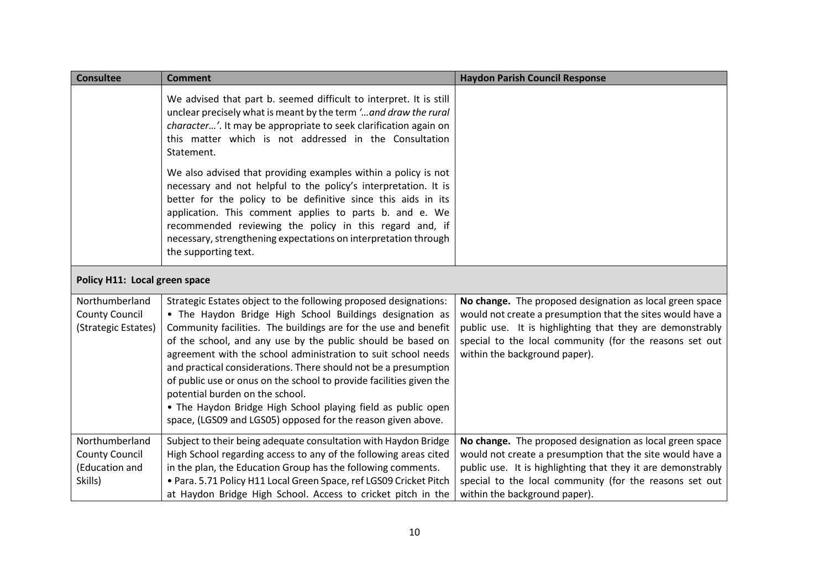| <b>Consultee</b>                                                     | <b>Comment</b>                                                                                                                                                                                                                                                                                                                                                                                                                                                                                                                                                                                                                               | <b>Haydon Parish Council Response</b>                                                                                                                                                                                                                                             |
|----------------------------------------------------------------------|----------------------------------------------------------------------------------------------------------------------------------------------------------------------------------------------------------------------------------------------------------------------------------------------------------------------------------------------------------------------------------------------------------------------------------------------------------------------------------------------------------------------------------------------------------------------------------------------------------------------------------------------|-----------------------------------------------------------------------------------------------------------------------------------------------------------------------------------------------------------------------------------------------------------------------------------|
|                                                                      | We advised that part b. seemed difficult to interpret. It is still<br>unclear precisely what is meant by the term ' and draw the rural<br>character'. It may be appropriate to seek clarification again on<br>this matter which is not addressed in the Consultation<br>Statement.                                                                                                                                                                                                                                                                                                                                                           |                                                                                                                                                                                                                                                                                   |
|                                                                      | We also advised that providing examples within a policy is not<br>necessary and not helpful to the policy's interpretation. It is<br>better for the policy to be definitive since this aids in its<br>application. This comment applies to parts b. and e. We<br>recommended reviewing the policy in this regard and, if<br>necessary, strengthening expectations on interpretation through<br>the supporting text.                                                                                                                                                                                                                          |                                                                                                                                                                                                                                                                                   |
| Policy H11: Local green space                                        |                                                                                                                                                                                                                                                                                                                                                                                                                                                                                                                                                                                                                                              |                                                                                                                                                                                                                                                                                   |
| Northumberland<br><b>County Council</b><br>(Strategic Estates)       | Strategic Estates object to the following proposed designations:<br>• The Haydon Bridge High School Buildings designation as<br>Community facilities. The buildings are for the use and benefit<br>of the school, and any use by the public should be based on<br>agreement with the school administration to suit school needs<br>and practical considerations. There should not be a presumption<br>of public use or onus on the school to provide facilities given the<br>potential burden on the school.<br>• The Haydon Bridge High School playing field as public open<br>space, (LGS09 and LGS05) opposed for the reason given above. | No change. The proposed designation as local green space<br>would not create a presumption that the sites would have a<br>public use. It is highlighting that they are demonstrably<br>special to the local community (for the reasons set out<br>within the background paper).   |
| Northumberland<br><b>County Council</b><br>(Education and<br>Skills) | Subject to their being adequate consultation with Haydon Bridge<br>High School regarding access to any of the following areas cited<br>in the plan, the Education Group has the following comments.<br>· Para. 5.71 Policy H11 Local Green Space, ref LGS09 Cricket Pitch<br>at Haydon Bridge High School. Access to cricket pitch in the                                                                                                                                                                                                                                                                                                    | No change. The proposed designation as local green space<br>would not create a presumption that the site would have a<br>public use. It is highlighting that they it are demonstrably<br>special to the local community (for the reasons set out<br>within the background paper). |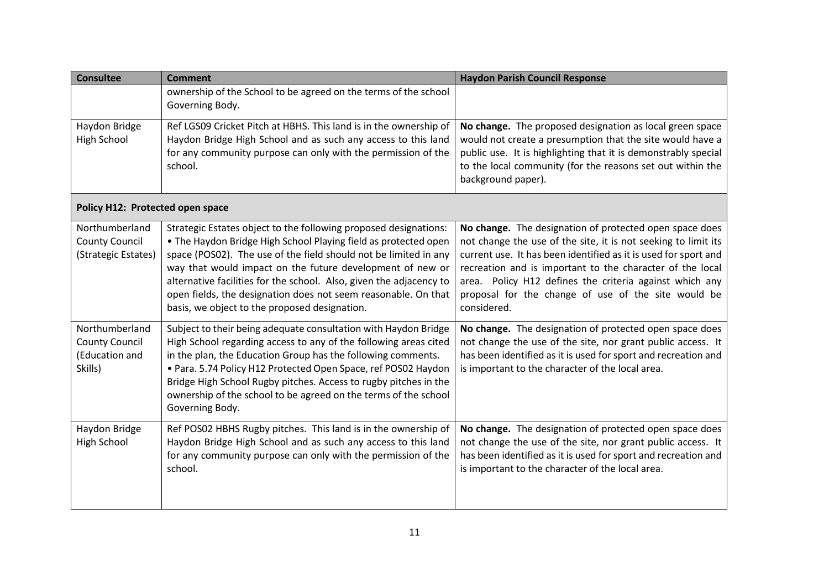| <b>Consultee</b>                                                     | <b>Comment</b>                                                                                                                                                                                                                                                                                                                                                                                                                                                 | <b>Haydon Parish Council Response</b>                                                                                                                                                                                                                                                                                                                                                      |
|----------------------------------------------------------------------|----------------------------------------------------------------------------------------------------------------------------------------------------------------------------------------------------------------------------------------------------------------------------------------------------------------------------------------------------------------------------------------------------------------------------------------------------------------|--------------------------------------------------------------------------------------------------------------------------------------------------------------------------------------------------------------------------------------------------------------------------------------------------------------------------------------------------------------------------------------------|
|                                                                      | ownership of the School to be agreed on the terms of the school<br>Governing Body.                                                                                                                                                                                                                                                                                                                                                                             |                                                                                                                                                                                                                                                                                                                                                                                            |
| Haydon Bridge<br>High School                                         | Ref LGS09 Cricket Pitch at HBHS. This land is in the ownership of<br>Haydon Bridge High School and as such any access to this land<br>for any community purpose can only with the permission of the<br>school.                                                                                                                                                                                                                                                 | No change. The proposed designation as local green space<br>would not create a presumption that the site would have a<br>public use. It is highlighting that it is demonstrably special<br>to the local community (for the reasons set out within the<br>background paper).                                                                                                                |
| Policy H12: Protected open space                                     |                                                                                                                                                                                                                                                                                                                                                                                                                                                                |                                                                                                                                                                                                                                                                                                                                                                                            |
| Northumberland<br><b>County Council</b><br>(Strategic Estates)       | Strategic Estates object to the following proposed designations:<br>• The Haydon Bridge High School Playing field as protected open<br>space (POS02). The use of the field should not be limited in any<br>way that would impact on the future development of new or<br>alternative facilities for the school. Also, given the adjacency to<br>open fields, the designation does not seem reasonable. On that<br>basis, we object to the proposed designation. | No change. The designation of protected open space does<br>not change the use of the site, it is not seeking to limit its<br>current use. It has been identified as it is used for sport and<br>recreation and is important to the character of the local<br>area. Policy H12 defines the criteria against which any<br>proposal for the change of use of the site would be<br>considered. |
| Northumberland<br><b>County Council</b><br>(Education and<br>Skills) | Subject to their being adequate consultation with Haydon Bridge<br>High School regarding access to any of the following areas cited<br>in the plan, the Education Group has the following comments.<br>· Para. 5.74 Policy H12 Protected Open Space, ref POS02 Haydon<br>Bridge High School Rugby pitches. Access to rugby pitches in the<br>ownership of the school to be agreed on the terms of the school<br>Governing Body.                                | No change. The designation of protected open space does<br>not change the use of the site, nor grant public access. It<br>has been identified as it is used for sport and recreation and<br>is important to the character of the local area.                                                                                                                                               |
| Haydon Bridge<br><b>High School</b>                                  | Ref POS02 HBHS Rugby pitches. This land is in the ownership of<br>Haydon Bridge High School and as such any access to this land<br>for any community purpose can only with the permission of the<br>school.                                                                                                                                                                                                                                                    | No change. The designation of protected open space does<br>not change the use of the site, nor grant public access. It<br>has been identified as it is used for sport and recreation and<br>is important to the character of the local area.                                                                                                                                               |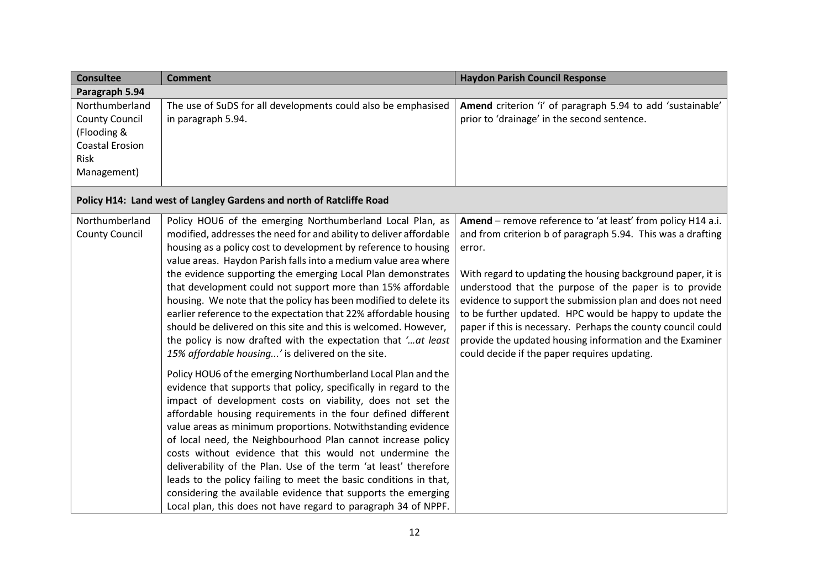| <b>Consultee</b>                                                                                        | <b>Comment</b>                                                                                                                                                                                                                                                                                                                                                                                                                                                | <b>Haydon Parish Council Response</b>                                                                                                                                                                                                                                                                                                                                                                                     |
|---------------------------------------------------------------------------------------------------------|---------------------------------------------------------------------------------------------------------------------------------------------------------------------------------------------------------------------------------------------------------------------------------------------------------------------------------------------------------------------------------------------------------------------------------------------------------------|---------------------------------------------------------------------------------------------------------------------------------------------------------------------------------------------------------------------------------------------------------------------------------------------------------------------------------------------------------------------------------------------------------------------------|
| Paragraph 5.94                                                                                          |                                                                                                                                                                                                                                                                                                                                                                                                                                                               |                                                                                                                                                                                                                                                                                                                                                                                                                           |
| Northumberland<br><b>County Council</b><br>(Flooding &<br><b>Coastal Erosion</b><br>Risk<br>Management) | The use of SuDS for all developments could also be emphasised<br>in paragraph 5.94.                                                                                                                                                                                                                                                                                                                                                                           | Amend criterion 'i' of paragraph 5.94 to add 'sustainable'<br>prior to 'drainage' in the second sentence.                                                                                                                                                                                                                                                                                                                 |
|                                                                                                         | Policy H14: Land west of Langley Gardens and north of Ratcliffe Road                                                                                                                                                                                                                                                                                                                                                                                          |                                                                                                                                                                                                                                                                                                                                                                                                                           |
| Northumberland<br><b>County Council</b>                                                                 | Policy HOU6 of the emerging Northumberland Local Plan, as<br>modified, addresses the need for and ability to deliver affordable<br>housing as a policy cost to development by reference to housing<br>value areas. Haydon Parish falls into a medium value area where                                                                                                                                                                                         | Amend - remove reference to 'at least' from policy H14 a.i.<br>and from criterion b of paragraph 5.94. This was a drafting<br>error.                                                                                                                                                                                                                                                                                      |
|                                                                                                         | the evidence supporting the emerging Local Plan demonstrates<br>that development could not support more than 15% affordable<br>housing. We note that the policy has been modified to delete its<br>earlier reference to the expectation that 22% affordable housing<br>should be delivered on this site and this is welcomed. However,<br>the policy is now drafted with the expectation that ' at least<br>15% affordable housing' is delivered on the site. | With regard to updating the housing background paper, it is<br>understood that the purpose of the paper is to provide<br>evidence to support the submission plan and does not need<br>to be further updated. HPC would be happy to update the<br>paper if this is necessary. Perhaps the county council could<br>provide the updated housing information and the Examiner<br>could decide if the paper requires updating. |
|                                                                                                         | Policy HOU6 of the emerging Northumberland Local Plan and the<br>evidence that supports that policy, specifically in regard to the<br>impact of development costs on viability, does not set the<br>affordable housing requirements in the four defined different<br>value areas as minimum proportions. Notwithstanding evidence<br>of local need, the Neighbourhood Plan cannot increase policy                                                             |                                                                                                                                                                                                                                                                                                                                                                                                                           |
|                                                                                                         | costs without evidence that this would not undermine the<br>deliverability of the Plan. Use of the term 'at least' therefore<br>leads to the policy failing to meet the basic conditions in that,                                                                                                                                                                                                                                                             |                                                                                                                                                                                                                                                                                                                                                                                                                           |
|                                                                                                         | considering the available evidence that supports the emerging<br>Local plan, this does not have regard to paragraph 34 of NPPF.                                                                                                                                                                                                                                                                                                                               |                                                                                                                                                                                                                                                                                                                                                                                                                           |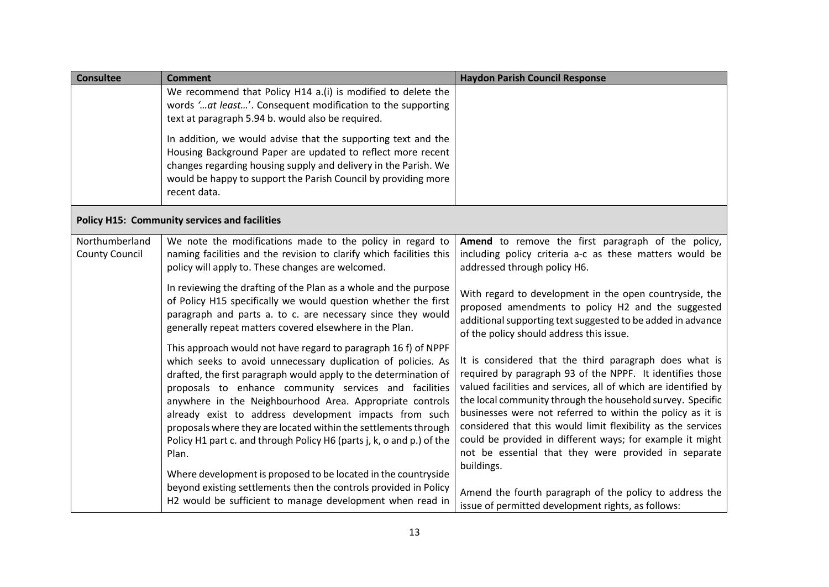| <b>Consultee</b>                        | <b>Comment</b>                                                                                                                                                                                                                                                                                                                                                                                                                                                                                                                                                                                            | <b>Haydon Parish Council Response</b>                                                                                                                                                                                                                                                                                                                                                                                                                                                                                |
|-----------------------------------------|-----------------------------------------------------------------------------------------------------------------------------------------------------------------------------------------------------------------------------------------------------------------------------------------------------------------------------------------------------------------------------------------------------------------------------------------------------------------------------------------------------------------------------------------------------------------------------------------------------------|----------------------------------------------------------------------------------------------------------------------------------------------------------------------------------------------------------------------------------------------------------------------------------------------------------------------------------------------------------------------------------------------------------------------------------------------------------------------------------------------------------------------|
|                                         | We recommend that Policy H14 a.(i) is modified to delete the<br>words 'at least'. Consequent modification to the supporting                                                                                                                                                                                                                                                                                                                                                                                                                                                                               |                                                                                                                                                                                                                                                                                                                                                                                                                                                                                                                      |
|                                         | text at paragraph 5.94 b. would also be required.<br>In addition, we would advise that the supporting text and the<br>Housing Background Paper are updated to reflect more recent<br>changes regarding housing supply and delivery in the Parish. We<br>would be happy to support the Parish Council by providing more<br>recent data.                                                                                                                                                                                                                                                                    |                                                                                                                                                                                                                                                                                                                                                                                                                                                                                                                      |
|                                         | <b>Policy H15: Community services and facilities</b>                                                                                                                                                                                                                                                                                                                                                                                                                                                                                                                                                      |                                                                                                                                                                                                                                                                                                                                                                                                                                                                                                                      |
| Northumberland<br><b>County Council</b> | We note the modifications made to the policy in regard to<br>naming facilities and the revision to clarify which facilities this<br>policy will apply to. These changes are welcomed.                                                                                                                                                                                                                                                                                                                                                                                                                     | Amend to remove the first paragraph of the policy,<br>including policy criteria a-c as these matters would be<br>addressed through policy H6.                                                                                                                                                                                                                                                                                                                                                                        |
|                                         | In reviewing the drafting of the Plan as a whole and the purpose<br>of Policy H15 specifically we would question whether the first<br>paragraph and parts a. to c. are necessary since they would<br>generally repeat matters covered elsewhere in the Plan.                                                                                                                                                                                                                                                                                                                                              | With regard to development in the open countryside, the<br>proposed amendments to policy H2 and the suggested<br>additional supporting text suggested to be added in advance<br>of the policy should address this issue.                                                                                                                                                                                                                                                                                             |
|                                         | This approach would not have regard to paragraph 16 f) of NPPF<br>which seeks to avoid unnecessary duplication of policies. As<br>drafted, the first paragraph would apply to the determination of<br>proposals to enhance community services and facilities<br>anywhere in the Neighbourhood Area. Appropriate controls<br>already exist to address development impacts from such<br>proposals where they are located within the settlements through<br>Policy H1 part c. and through Policy H6 (parts j, k, o and p.) of the<br>Plan.<br>Where development is proposed to be located in the countryside | It is considered that the third paragraph does what is<br>required by paragraph 93 of the NPPF. It identifies those<br>valued facilities and services, all of which are identified by<br>the local community through the household survey. Specific<br>businesses were not referred to within the policy as it is<br>considered that this would limit flexibility as the services<br>could be provided in different ways; for example it might<br>not be essential that they were provided in separate<br>buildings. |
|                                         | beyond existing settlements then the controls provided in Policy<br>H2 would be sufficient to manage development when read in                                                                                                                                                                                                                                                                                                                                                                                                                                                                             | Amend the fourth paragraph of the policy to address the<br>issue of permitted development rights, as follows:                                                                                                                                                                                                                                                                                                                                                                                                        |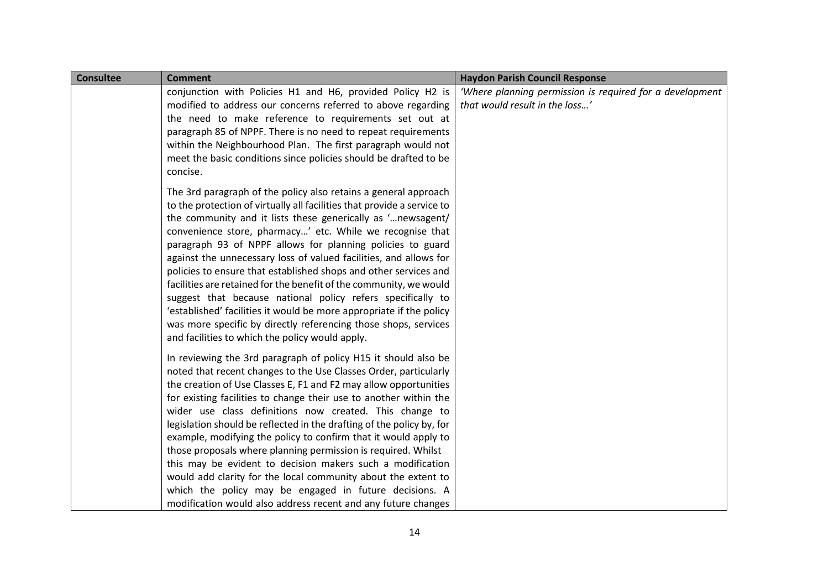| <b>Consultee</b> | <b>Comment</b>                                                                                                                                                                                                                                                                                                                                                                                                                                                                                                                                                                                                                                                                                                                                                                                                  | <b>Haydon Parish Council Response</b>                                                      |
|------------------|-----------------------------------------------------------------------------------------------------------------------------------------------------------------------------------------------------------------------------------------------------------------------------------------------------------------------------------------------------------------------------------------------------------------------------------------------------------------------------------------------------------------------------------------------------------------------------------------------------------------------------------------------------------------------------------------------------------------------------------------------------------------------------------------------------------------|--------------------------------------------------------------------------------------------|
|                  | conjunction with Policies H1 and H6, provided Policy H2 is<br>modified to address our concerns referred to above regarding                                                                                                                                                                                                                                                                                                                                                                                                                                                                                                                                                                                                                                                                                      | 'Where planning permission is required for a development<br>that would result in the loss' |
|                  | the need to make reference to requirements set out at                                                                                                                                                                                                                                                                                                                                                                                                                                                                                                                                                                                                                                                                                                                                                           |                                                                                            |
|                  | paragraph 85 of NPPF. There is no need to repeat requirements                                                                                                                                                                                                                                                                                                                                                                                                                                                                                                                                                                                                                                                                                                                                                   |                                                                                            |
|                  | within the Neighbourhood Plan. The first paragraph would not<br>meet the basic conditions since policies should be drafted to be<br>concise.                                                                                                                                                                                                                                                                                                                                                                                                                                                                                                                                                                                                                                                                    |                                                                                            |
|                  | The 3rd paragraph of the policy also retains a general approach<br>to the protection of virtually all facilities that provide a service to<br>the community and it lists these generically as 'newsagent/<br>convenience store, pharmacy' etc. While we recognise that<br>paragraph 93 of NPPF allows for planning policies to guard<br>against the unnecessary loss of valued facilities, and allows for<br>policies to ensure that established shops and other services and<br>facilities are retained for the benefit of the community, we would<br>suggest that because national policy refers specifically to<br>'established' facilities it would be more appropriate if the policy<br>was more specific by directly referencing those shops, services<br>and facilities to which the policy would apply. |                                                                                            |
|                  | In reviewing the 3rd paragraph of policy H15 it should also be<br>noted that recent changes to the Use Classes Order, particularly<br>the creation of Use Classes E, F1 and F2 may allow opportunities<br>for existing facilities to change their use to another within the<br>wider use class definitions now created. This change to<br>legislation should be reflected in the drafting of the policy by, for<br>example, modifying the policy to confirm that it would apply to<br>those proposals where planning permission is required. Whilst<br>this may be evident to decision makers such a modification<br>would add clarity for the local community about the extent to<br>which the policy may be engaged in future decisions. A                                                                    |                                                                                            |
|                  | modification would also address recent and any future changes                                                                                                                                                                                                                                                                                                                                                                                                                                                                                                                                                                                                                                                                                                                                                   |                                                                                            |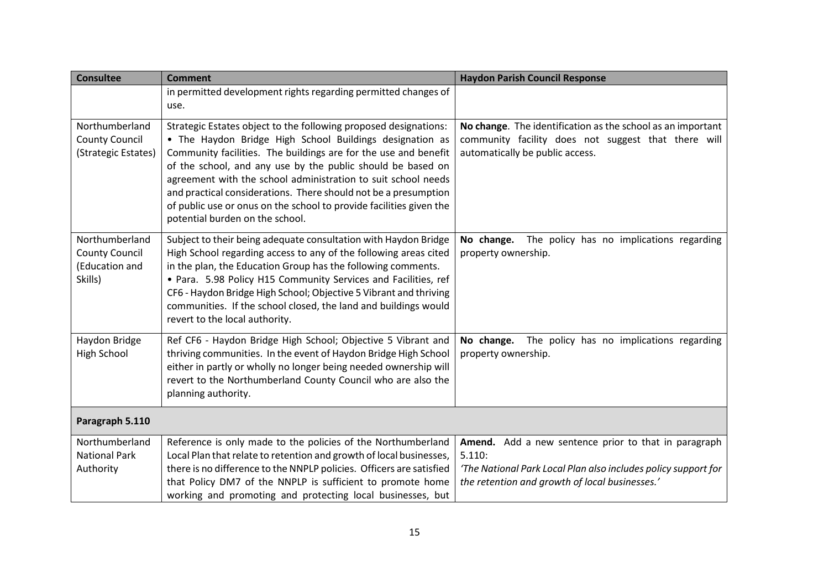| <b>Consultee</b>                                                     | <b>Comment</b>                                                                                                                                                                                                                                                                                                                                                                                                                                                                                               | <b>Haydon Parish Council Response</b>                                                                                                                                              |
|----------------------------------------------------------------------|--------------------------------------------------------------------------------------------------------------------------------------------------------------------------------------------------------------------------------------------------------------------------------------------------------------------------------------------------------------------------------------------------------------------------------------------------------------------------------------------------------------|------------------------------------------------------------------------------------------------------------------------------------------------------------------------------------|
|                                                                      | in permitted development rights regarding permitted changes of<br>use.                                                                                                                                                                                                                                                                                                                                                                                                                                       |                                                                                                                                                                                    |
| Northumberland<br><b>County Council</b><br>(Strategic Estates)       | Strategic Estates object to the following proposed designations:<br>• The Haydon Bridge High School Buildings designation as<br>Community facilities. The buildings are for the use and benefit<br>of the school, and any use by the public should be based on<br>agreement with the school administration to suit school needs<br>and practical considerations. There should not be a presumption<br>of public use or onus on the school to provide facilities given the<br>potential burden on the school. | No change. The identification as the school as an important<br>community facility does not suggest that there will<br>automatically be public access.                              |
| Northumberland<br><b>County Council</b><br>(Education and<br>Skills) | Subject to their being adequate consultation with Haydon Bridge<br>High School regarding access to any of the following areas cited<br>in the plan, the Education Group has the following comments.<br>• Para. 5.98 Policy H15 Community Services and Facilities, ref<br>CF6 - Haydon Bridge High School; Objective 5 Vibrant and thriving<br>communities. If the school closed, the land and buildings would<br>revert to the local authority.                                                              | The policy has no implications regarding<br>No change.<br>property ownership.                                                                                                      |
| Haydon Bridge<br>High School                                         | Ref CF6 - Haydon Bridge High School; Objective 5 Vibrant and<br>thriving communities. In the event of Haydon Bridge High School<br>either in partly or wholly no longer being needed ownership will<br>revert to the Northumberland County Council who are also the<br>planning authority.                                                                                                                                                                                                                   | The policy has no implications regarding<br>No change.<br>property ownership.                                                                                                      |
| Paragraph 5.110                                                      |                                                                                                                                                                                                                                                                                                                                                                                                                                                                                                              |                                                                                                                                                                                    |
| Northumberland<br><b>National Park</b><br>Authority                  | Reference is only made to the policies of the Northumberland<br>Local Plan that relate to retention and growth of local businesses,<br>there is no difference to the NNPLP policies. Officers are satisfied<br>that Policy DM7 of the NNPLP is sufficient to promote home<br>working and promoting and protecting local businesses, but                                                                                                                                                                      | Amend. Add a new sentence prior to that in paragraph<br>5.110:<br>'The National Park Local Plan also includes policy support for<br>the retention and growth of local businesses.' |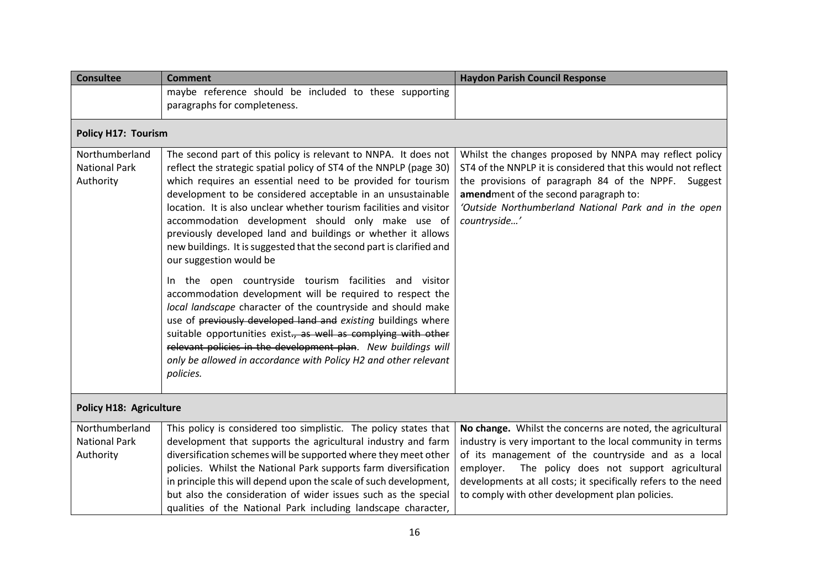| <b>Consultee</b>                                    | <b>Comment</b>                                                                                                                                                                                                                                                                                                                                                                                                                                                                                                                                                     | <b>Haydon Parish Council Response</b>                                                                                                                                                                                                                                                                                                                        |  |
|-----------------------------------------------------|--------------------------------------------------------------------------------------------------------------------------------------------------------------------------------------------------------------------------------------------------------------------------------------------------------------------------------------------------------------------------------------------------------------------------------------------------------------------------------------------------------------------------------------------------------------------|--------------------------------------------------------------------------------------------------------------------------------------------------------------------------------------------------------------------------------------------------------------------------------------------------------------------------------------------------------------|--|
|                                                     | maybe reference should be included to these supporting<br>paragraphs for completeness.                                                                                                                                                                                                                                                                                                                                                                                                                                                                             |                                                                                                                                                                                                                                                                                                                                                              |  |
| <b>Policy H17: Tourism</b>                          |                                                                                                                                                                                                                                                                                                                                                                                                                                                                                                                                                                    |                                                                                                                                                                                                                                                                                                                                                              |  |
| Northumberland<br><b>National Park</b><br>Authority | The second part of this policy is relevant to NNPA. It does not<br>reflect the strategic spatial policy of ST4 of the NNPLP (page 30)<br>which requires an essential need to be provided for tourism<br>development to be considered acceptable in an unsustainable<br>location. It is also unclear whether tourism facilities and visitor<br>accommodation development should only make use of<br>previously developed land and buildings or whether it allows<br>new buildings. It is suggested that the second part is clarified and<br>our suggestion would be | Whilst the changes proposed by NNPA may reflect policy<br>ST4 of the NNPLP it is considered that this would not reflect<br>the provisions of paragraph 84 of the NPPF. Suggest<br>amendment of the second paragraph to:<br>'Outside Northumberland National Park and in the open<br>countryside'                                                             |  |
|                                                     | In the open countryside tourism facilities and visitor<br>accommodation development will be required to respect the<br>local landscape character of the countryside and should make<br>use of previously developed land and existing buildings where<br>suitable opportunities exist., as well as complying with other<br>relevant policies in the development plan. New buildings will<br>only be allowed in accordance with Policy H2 and other relevant<br>policies.                                                                                            |                                                                                                                                                                                                                                                                                                                                                              |  |
|                                                     | <b>Policy H18: Agriculture</b>                                                                                                                                                                                                                                                                                                                                                                                                                                                                                                                                     |                                                                                                                                                                                                                                                                                                                                                              |  |
| Northumberland<br><b>National Park</b><br>Authority | This policy is considered too simplistic. The policy states that<br>development that supports the agricultural industry and farm<br>diversification schemes will be supported where they meet other<br>policies. Whilst the National Park supports farm diversification<br>in principle this will depend upon the scale of such development,<br>but also the consideration of wider issues such as the special<br>qualities of the National Park including landscape character,                                                                                    | No change. Whilst the concerns are noted, the agricultural<br>industry is very important to the local community in terms<br>of its management of the countryside and as a local<br>The policy does not support agricultural<br>employer.<br>developments at all costs; it specifically refers to the need<br>to comply with other development plan policies. |  |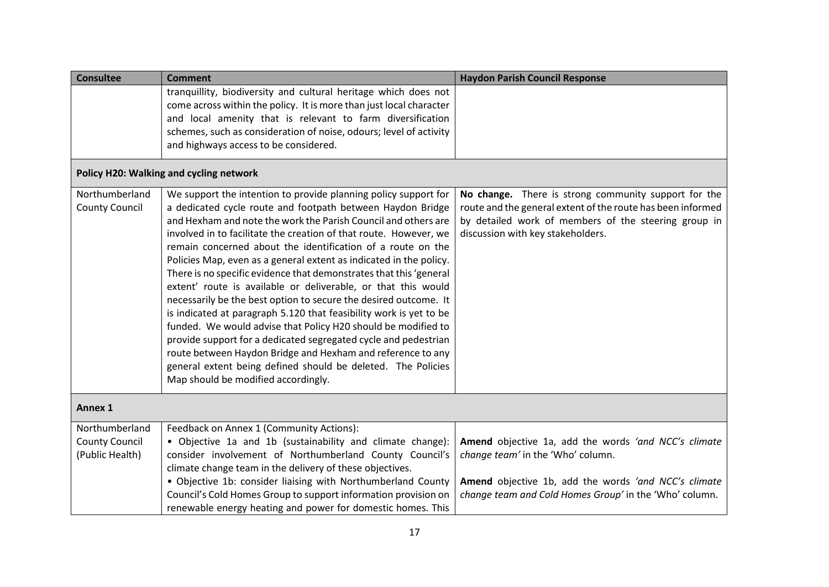| <b>Consultee</b>                                           | <b>Comment</b>                                                                                                                                                                                                                                                                                                                                                                                                                                                                                                                                                                                                                                                                                                                                                                                                                                                                                                                                                                                       | <b>Haydon Parish Council Response</b>                                                                                                                                                                            |
|------------------------------------------------------------|------------------------------------------------------------------------------------------------------------------------------------------------------------------------------------------------------------------------------------------------------------------------------------------------------------------------------------------------------------------------------------------------------------------------------------------------------------------------------------------------------------------------------------------------------------------------------------------------------------------------------------------------------------------------------------------------------------------------------------------------------------------------------------------------------------------------------------------------------------------------------------------------------------------------------------------------------------------------------------------------------|------------------------------------------------------------------------------------------------------------------------------------------------------------------------------------------------------------------|
|                                                            | tranquillity, biodiversity and cultural heritage which does not<br>come across within the policy. It is more than just local character<br>and local amenity that is relevant to farm diversification<br>schemes, such as consideration of noise, odours; level of activity<br>and highways access to be considered.                                                                                                                                                                                                                                                                                                                                                                                                                                                                                                                                                                                                                                                                                  |                                                                                                                                                                                                                  |
|                                                            | Policy H20: Walking and cycling network                                                                                                                                                                                                                                                                                                                                                                                                                                                                                                                                                                                                                                                                                                                                                                                                                                                                                                                                                              |                                                                                                                                                                                                                  |
| Northumberland<br><b>County Council</b>                    | We support the intention to provide planning policy support for<br>a dedicated cycle route and footpath between Haydon Bridge<br>and Hexham and note the work the Parish Council and others are<br>involved in to facilitate the creation of that route. However, we<br>remain concerned about the identification of a route on the<br>Policies Map, even as a general extent as indicated in the policy.<br>There is no specific evidence that demonstrates that this 'general<br>extent' route is available or deliverable, or that this would<br>necessarily be the best option to secure the desired outcome. It<br>is indicated at paragraph 5.120 that feasibility work is yet to be<br>funded. We would advise that Policy H20 should be modified to<br>provide support for a dedicated segregated cycle and pedestrian<br>route between Haydon Bridge and Hexham and reference to any<br>general extent being defined should be deleted. The Policies<br>Map should be modified accordingly. | No change. There is strong community support for the<br>route and the general extent of the route has been informed<br>by detailed work of members of the steering group in<br>discussion with key stakeholders. |
| <b>Annex 1</b>                                             |                                                                                                                                                                                                                                                                                                                                                                                                                                                                                                                                                                                                                                                                                                                                                                                                                                                                                                                                                                                                      |                                                                                                                                                                                                                  |
| Northumberland<br><b>County Council</b><br>(Public Health) | Feedback on Annex 1 (Community Actions):<br>· Objective 1a and 1b (sustainability and climate change):<br>consider involvement of Northumberland County Council's<br>climate change team in the delivery of these objectives.<br>• Objective 1b: consider liaising with Northumberland County<br>Council's Cold Homes Group to support information provision on<br>renewable energy heating and power for domestic homes. This                                                                                                                                                                                                                                                                                                                                                                                                                                                                                                                                                                       | Amend objective 1a, add the words 'and NCC's climate<br>change team' in the 'Who' column.<br>Amend objective 1b, add the words 'and NCC's climate<br>change team and Cold Homes Group' in the 'Who' column.      |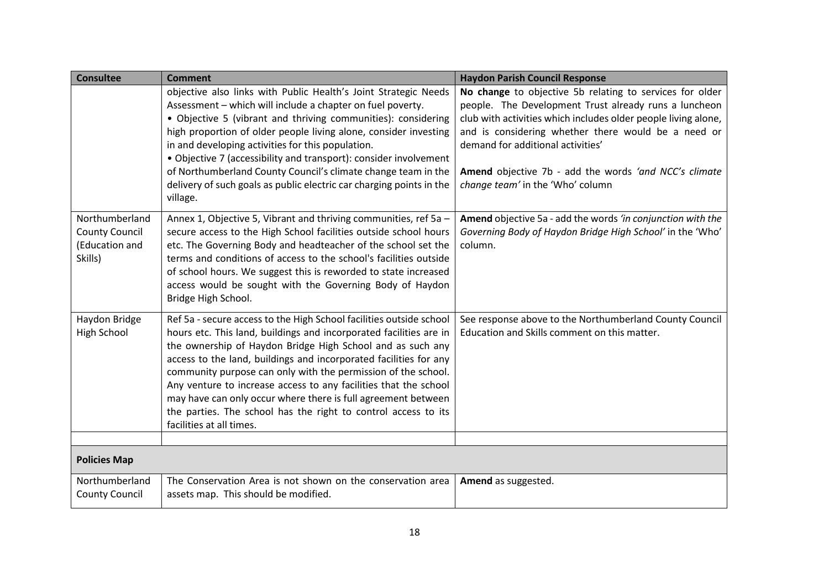| <b>Consultee</b>                                                     | <b>Comment</b>                                                                                                                                                                                                                                                                                                                                                                                                                                                                                                                                                                   | <b>Haydon Parish Council Response</b>                                                                                                                                                                                                                                                                                                                                        |
|----------------------------------------------------------------------|----------------------------------------------------------------------------------------------------------------------------------------------------------------------------------------------------------------------------------------------------------------------------------------------------------------------------------------------------------------------------------------------------------------------------------------------------------------------------------------------------------------------------------------------------------------------------------|------------------------------------------------------------------------------------------------------------------------------------------------------------------------------------------------------------------------------------------------------------------------------------------------------------------------------------------------------------------------------|
|                                                                      | objective also links with Public Health's Joint Strategic Needs<br>Assessment - which will include a chapter on fuel poverty.<br>• Objective 5 (vibrant and thriving communities): considering<br>high proportion of older people living alone, consider investing<br>in and developing activities for this population.<br>• Objective 7 (accessibility and transport): consider involvement<br>of Northumberland County Council's climate change team in the<br>delivery of such goals as public electric car charging points in the<br>village.                                | No change to objective 5b relating to services for older<br>people. The Development Trust already runs a luncheon<br>club with activities which includes older people living alone,<br>and is considering whether there would be a need or<br>demand for additional activities'<br>Amend objective 7b - add the words 'and NCC's climate<br>change team' in the 'Who' column |
| Northumberland<br><b>County Council</b><br>(Education and<br>Skills) | Annex 1, Objective 5, Vibrant and thriving communities, ref 5a -<br>secure access to the High School facilities outside school hours<br>etc. The Governing Body and headteacher of the school set the<br>terms and conditions of access to the school's facilities outside<br>of school hours. We suggest this is reworded to state increased<br>access would be sought with the Governing Body of Haydon<br>Bridge High School.                                                                                                                                                 | Amend objective 5a - add the words 'in conjunction with the<br>Governing Body of Haydon Bridge High School' in the 'Who'<br>column.                                                                                                                                                                                                                                          |
| Haydon Bridge<br><b>High School</b>                                  | Ref 5a - secure access to the High School facilities outside school<br>hours etc. This land, buildings and incorporated facilities are in<br>the ownership of Haydon Bridge High School and as such any<br>access to the land, buildings and incorporated facilities for any<br>community purpose can only with the permission of the school.<br>Any venture to increase access to any facilities that the school<br>may have can only occur where there is full agreement between<br>the parties. The school has the right to control access to its<br>facilities at all times. | See response above to the Northumberland County Council<br>Education and Skills comment on this matter.                                                                                                                                                                                                                                                                      |
|                                                                      |                                                                                                                                                                                                                                                                                                                                                                                                                                                                                                                                                                                  |                                                                                                                                                                                                                                                                                                                                                                              |
| <b>Policies Map</b>                                                  |                                                                                                                                                                                                                                                                                                                                                                                                                                                                                                                                                                                  |                                                                                                                                                                                                                                                                                                                                                                              |
| Northumberland<br><b>County Council</b>                              | The Conservation Area is not shown on the conservation area<br>assets map. This should be modified.                                                                                                                                                                                                                                                                                                                                                                                                                                                                              | Amend as suggested.                                                                                                                                                                                                                                                                                                                                                          |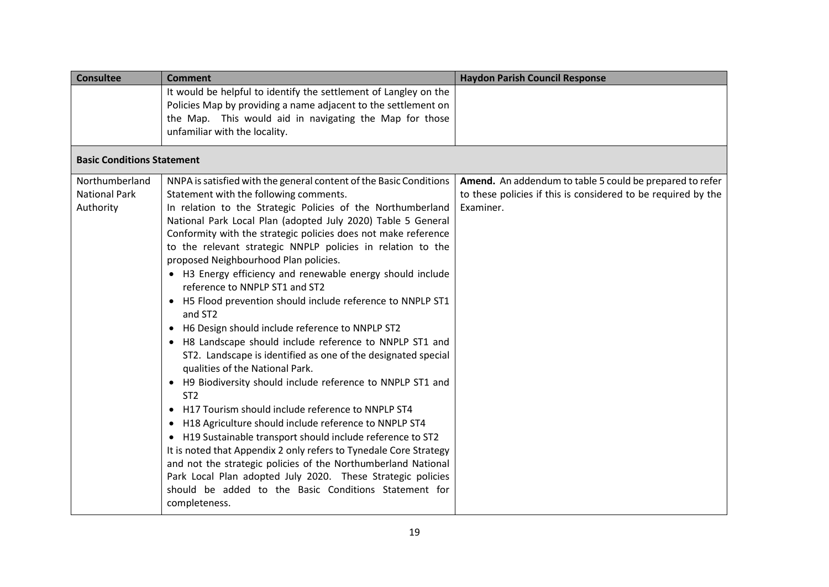| <b>Consultee</b>                  | <b>Comment</b>                                                                                                                     | <b>Haydon Parish Council Response</b>                         |
|-----------------------------------|------------------------------------------------------------------------------------------------------------------------------------|---------------------------------------------------------------|
|                                   | It would be helpful to identify the settlement of Langley on the<br>Policies Map by providing a name adjacent to the settlement on |                                                               |
|                                   | the Map. This would aid in navigating the Map for those                                                                            |                                                               |
|                                   | unfamiliar with the locality.                                                                                                      |                                                               |
| <b>Basic Conditions Statement</b> |                                                                                                                                    |                                                               |
| Northumberland                    | NNPA is satisfied with the general content of the Basic Conditions                                                                 | Amend. An addendum to table 5 could be prepared to refer      |
| <b>National Park</b>              | Statement with the following comments.                                                                                             | to these policies if this is considered to be required by the |
| Authority                         | In relation to the Strategic Policies of the Northumberland                                                                        | Examiner.                                                     |
|                                   | National Park Local Plan (adopted July 2020) Table 5 General                                                                       |                                                               |
|                                   | Conformity with the strategic policies does not make reference<br>to the relevant strategic NNPLP policies in relation to the      |                                                               |
|                                   | proposed Neighbourhood Plan policies.                                                                                              |                                                               |
|                                   | • H3 Energy efficiency and renewable energy should include                                                                         |                                                               |
|                                   | reference to NNPLP ST1 and ST2                                                                                                     |                                                               |
|                                   | • H5 Flood prevention should include reference to NNPLP ST1                                                                        |                                                               |
|                                   | and ST2                                                                                                                            |                                                               |
|                                   | H6 Design should include reference to NNPLP ST2<br>$\bullet$                                                                       |                                                               |
|                                   | H8 Landscape should include reference to NNPLP ST1 and                                                                             |                                                               |
|                                   | ST2. Landscape is identified as one of the designated special                                                                      |                                                               |
|                                   | qualities of the National Park.                                                                                                    |                                                               |
|                                   | H9 Biodiversity should include reference to NNPLP ST1 and<br>$\bullet$                                                             |                                                               |
|                                   | ST <sub>2</sub>                                                                                                                    |                                                               |
|                                   | H17 Tourism should include reference to NNPLP ST4<br>$\bullet$                                                                     |                                                               |
|                                   | H18 Agriculture should include reference to NNPLP ST4                                                                              |                                                               |
|                                   | • H19 Sustainable transport should include reference to ST2                                                                        |                                                               |
|                                   | It is noted that Appendix 2 only refers to Tynedale Core Strategy                                                                  |                                                               |
|                                   | and not the strategic policies of the Northumberland National                                                                      |                                                               |
|                                   | Park Local Plan adopted July 2020. These Strategic policies                                                                        |                                                               |
|                                   | should be added to the Basic Conditions Statement for                                                                              |                                                               |
|                                   | completeness.                                                                                                                      |                                                               |